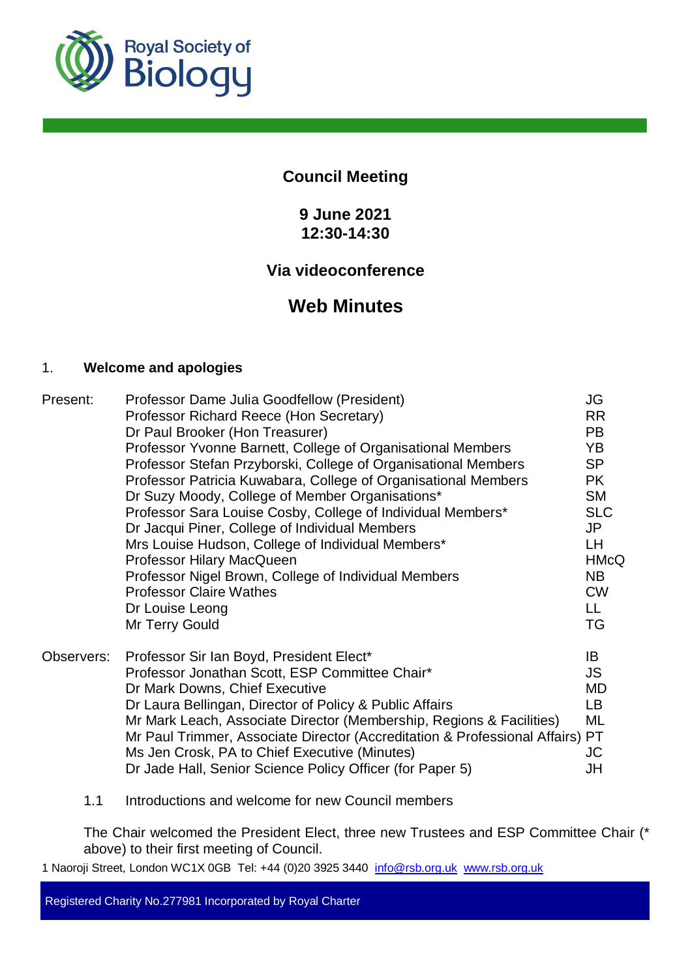

# **Council Meeting**

# **9 June 2021 12:30-14:30**

# **Via videoconference**

# **Web Minutes**

#### 1. **Welcome and apologies**

| Present:   | Professor Dame Julia Goodfellow (President)<br>Professor Richard Reece (Hon Secretary)<br>Dr Paul Brooker (Hon Treasurer)                                                                                                                                                                                                                                                                                                                                      | JG<br><b>RR</b><br><b>PB</b>                                                        |
|------------|----------------------------------------------------------------------------------------------------------------------------------------------------------------------------------------------------------------------------------------------------------------------------------------------------------------------------------------------------------------------------------------------------------------------------------------------------------------|-------------------------------------------------------------------------------------|
|            | Professor Yvonne Barnett, College of Organisational Members                                                                                                                                                                                                                                                                                                                                                                                                    | YB                                                                                  |
|            | Professor Stefan Przyborski, College of Organisational Members<br>Professor Patricia Kuwabara, College of Organisational Members                                                                                                                                                                                                                                                                                                                               | <b>SP</b><br><b>PK</b>                                                              |
|            | Dr Suzy Moody, College of Member Organisations*                                                                                                                                                                                                                                                                                                                                                                                                                | <b>SM</b>                                                                           |
|            | Professor Sara Louise Cosby, College of Individual Members*<br>Dr Jacqui Piner, College of Individual Members<br>Mrs Louise Hudson, College of Individual Members*<br>Professor Hilary MacQueen<br>Professor Nigel Brown, College of Individual Members<br><b>Professor Claire Wathes</b><br>Dr Louise Leong<br>Mr Terry Gould                                                                                                                                 | <b>SLC</b><br>JP<br>LH<br><b>HMcQ</b><br><b>NB</b><br><b>CW</b><br>LL.<br><b>TG</b> |
| Observers: | Professor Sir Ian Boyd, President Elect*<br>Professor Jonathan Scott, ESP Committee Chair*<br>Dr Mark Downs, Chief Executive<br>Dr Laura Bellingan, Director of Policy & Public Affairs<br>Mr Mark Leach, Associate Director (Membership, Regions & Facilities)<br>Mr Paul Trimmer, Associate Director (Accreditation & Professional Affairs) PT<br>Ms Jen Crosk, PA to Chief Executive (Minutes)<br>Dr Jade Hall, Senior Science Policy Officer (for Paper 5) | IB<br>JS.<br>MD<br>LB<br>ML<br>JC<br>JH                                             |

1.1 Introductions and welcome for new Council members

The Chair welcomed the President Elect, three new Trustees and ESP Committee Chair (\* above) to their first meeting of Council.

1 Naoroji Street, London WC1X 0GB Tel: +44 (0)20 3925 3440 info@rsb.org.uk www.rsb.org.uk

Registered Charity No.277981 Incorporated by Royal Charter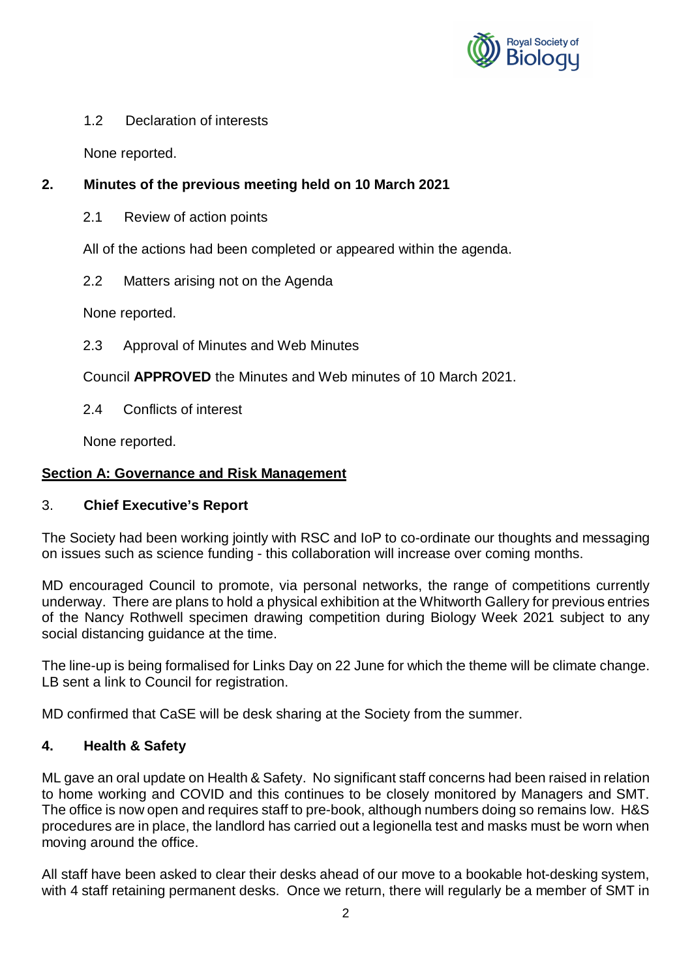

#### 1.2 Declaration of interests

None reported.

## **2. Minutes of the previous meeting held on 10 March 2021**

2.1 Review of action points

All of the actions had been completed or appeared within the agenda.

2.2 Matters arising not on the Agenda

None reported.

2.3 Approval of Minutes and Web Minutes

Council **APPROVED** the Minutes and Web minutes of 10 March 2021.

2.4 Conflicts of interest

None reported.

## **Section A: Governance and Risk Management**

## 3. **Chief Executive's Report**

The Society had been working jointly with RSC and IoP to co-ordinate our thoughts and messaging on issues such as science funding - this collaboration will increase over coming months.

MD encouraged Council to promote, via personal networks, the range of competitions currently underway. There are plans to hold a physical exhibition at the Whitworth Gallery for previous entries of the Nancy Rothwell specimen drawing competition during Biology Week 2021 subject to any social distancing guidance at the time.

The line-up is being formalised for Links Day on 22 June for which the theme will be climate change. LB sent a link to Council for registration.

MD confirmed that CaSE will be desk sharing at the Society from the summer.

## **4. Health & Safety**

ML gave an oral update on Health & Safety. No significant staff concerns had been raised in relation to home working and COVID and this continues to be closely monitored by Managers and SMT. The office is now open and requires staff to pre-book, although numbers doing so remains low. H&S procedures are in place, the landlord has carried out a legionella test and masks must be worn when moving around the office.

All staff have been asked to clear their desks ahead of our move to a bookable hot-desking system, with 4 staff retaining permanent desks. Once we return, there will regularly be a member of SMT in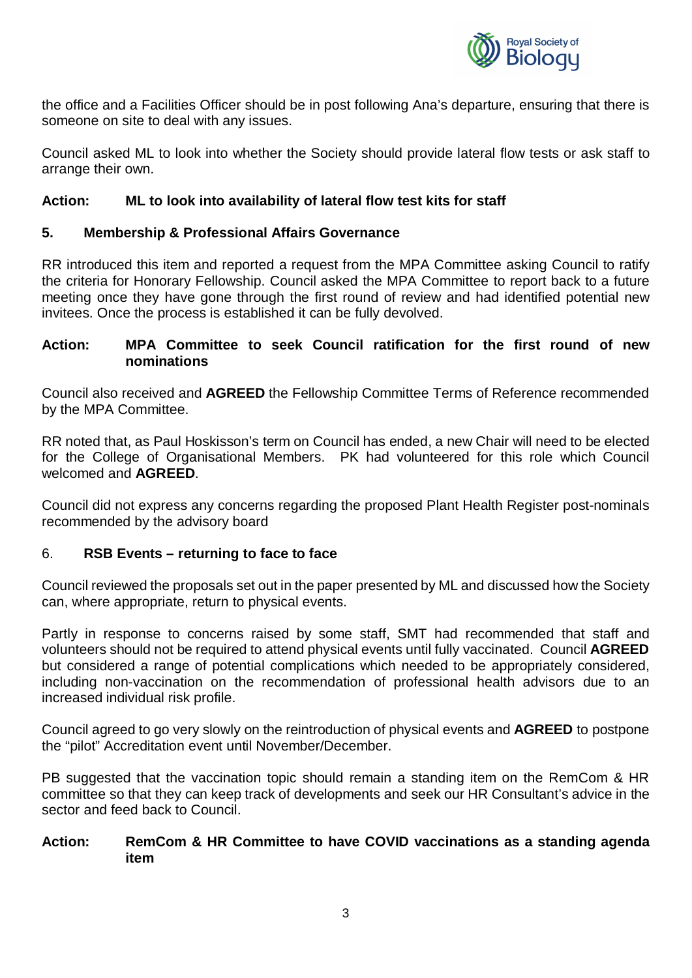

the office and a Facilities Officer should be in post following Ana's departure, ensuring that there is someone on site to deal with any issues.

Council asked ML to look into whether the Society should provide lateral flow tests or ask staff to arrange their own.

#### **Action: ML to look into availability of lateral flow test kits for staff**

#### **5. Membership & Professional Affairs Governance**

RR introduced this item and reported a request from the MPA Committee asking Council to ratify the criteria for Honorary Fellowship. Council asked the MPA Committee to report back to a future meeting once they have gone through the first round of review and had identified potential new invitees. Once the process is established it can be fully devolved.

#### **Action: MPA Committee to seek Council ratification for the first round of new nominations**

Council also received and **AGREED** the Fellowship Committee Terms of Reference recommended by the MPA Committee.

RR noted that, as Paul Hoskisson's term on Council has ended, a new Chair will need to be elected for the College of Organisational Members. PK had volunteered for this role which Council welcomed and **AGREED**.

Council did not express any concerns regarding the proposed Plant Health Register post-nominals recommended by the advisory board

#### 6. **RSB Events – returning to face to face**

Council reviewed the proposals set out in the paper presented by ML and discussed how the Society can, where appropriate, return to physical events.

Partly in response to concerns raised by some staff, SMT had recommended that staff and volunteers should not be required to attend physical events until fully vaccinated. Council **AGREED** but considered a range of potential complications which needed to be appropriately considered, including non-vaccination on the recommendation of professional health advisors due to an increased individual risk profile.

Council agreed to go very slowly on the reintroduction of physical events and **AGREED** to postpone the "pilot" Accreditation event until November/December.

PB suggested that the vaccination topic should remain a standing item on the RemCom & HR committee so that they can keep track of developments and seek our HR Consultant's advice in the sector and feed back to Council.

#### **Action: RemCom & HR Committee to have COVID vaccinations as a standing agenda item**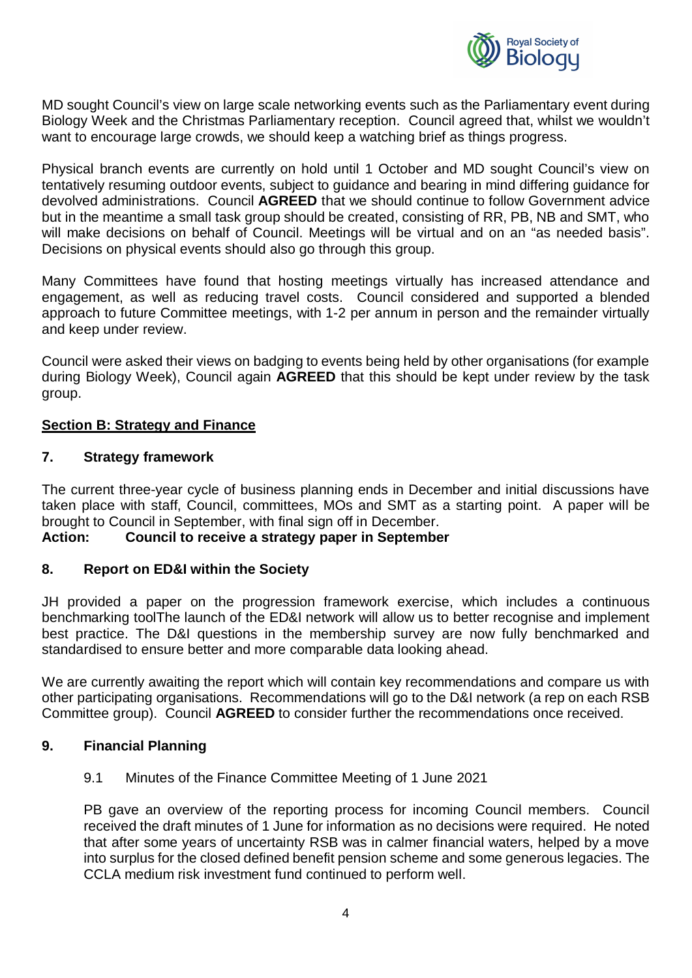

MD sought Council's view on large scale networking events such as the Parliamentary event during Biology Week and the Christmas Parliamentary reception. Council agreed that, whilst we wouldn't want to encourage large crowds, we should keep a watching brief as things progress.

Physical branch events are currently on hold until 1 October and MD sought Council's view on tentatively resuming outdoor events, subject to guidance and bearing in mind differing guidance for devolved administrations. Council **AGREED** that we should continue to follow Government advice but in the meantime a small task group should be created, consisting of RR, PB, NB and SMT, who will make decisions on behalf of Council. Meetings will be virtual and on an "as needed basis". Decisions on physical events should also go through this group.

Many Committees have found that hosting meetings virtually has increased attendance and engagement, as well as reducing travel costs. Council considered and supported a blended approach to future Committee meetings, with 1-2 per annum in person and the remainder virtually and keep under review.

Council were asked their views on badging to events being held by other organisations (for example during Biology Week), Council again **AGREED** that this should be kept under review by the task group.

#### **Section B: Strategy and Finance**

#### **7. Strategy framework**

The current three-year cycle of business planning ends in December and initial discussions have taken place with staff, Council, committees, MOs and SMT as a starting point. A paper will be brought to Council in September, with final sign off in December.

#### **Action: Council to receive a strategy paper in September**

#### **8. Report on ED&I within the Society**

JH provided a paper on the progression framework exercise, which includes a continuous benchmarking toolThe launch of the ED&I network will allow us to better recognise and implement best practice. The D&I questions in the membership survey are now fully benchmarked and standardised to ensure better and more comparable data looking ahead.

We are currently awaiting the report which will contain key recommendations and compare us with other participating organisations. Recommendations will go to the D&I network (a rep on each RSB Committee group). Council **AGREED** to consider further the recommendations once received.

#### **9. Financial Planning**

9.1 Minutes of the Finance Committee Meeting of 1 June 2021

PB gave an overview of the reporting process for incoming Council members. Council received the draft minutes of 1 June for information as no decisions were required. He noted that after some years of uncertainty RSB was in calmer financial waters, helped by a move into surplus for the closed defined benefit pension scheme and some generous legacies. The CCLA medium risk investment fund continued to perform well.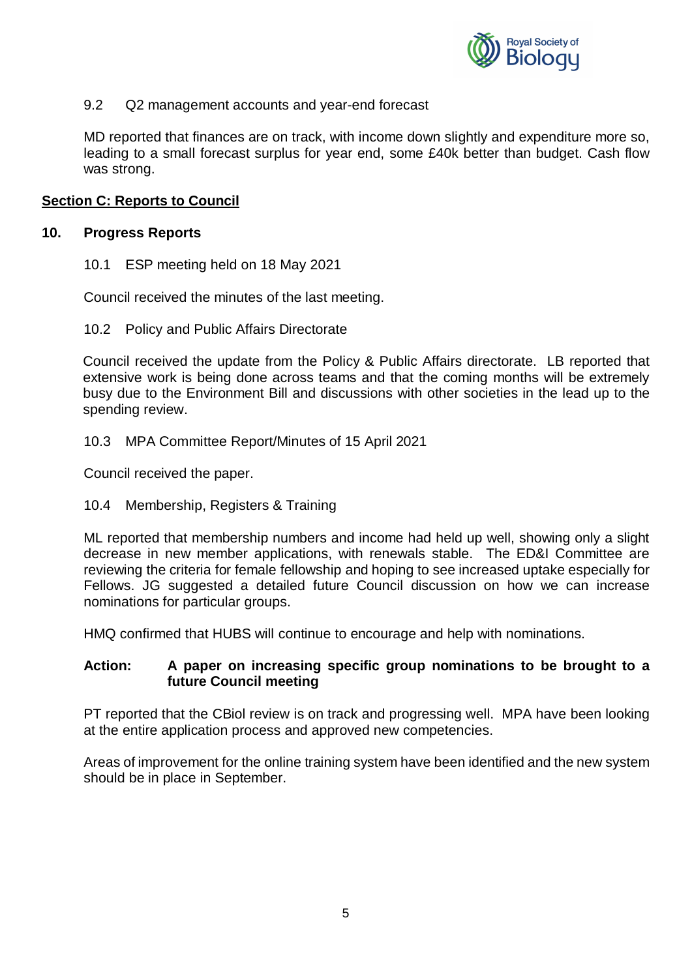

#### 9.2 Q2 management accounts and year-end forecast

MD reported that finances are on track, with income down slightly and expenditure more so, leading to a small forecast surplus for year end, some £40k better than budget. Cash flow was strong.

#### **Section C: Reports to Council**

#### **10. Progress Reports**

10.1 ESP meeting held on 18 May 2021

Council received the minutes of the last meeting.

10.2 Policy and Public Affairs Directorate

Council received the update from the Policy & Public Affairs directorate. LB reported that extensive work is being done across teams and that the coming months will be extremely busy due to the Environment Bill and discussions with other societies in the lead up to the spending review.

10.3 MPA Committee Report/Minutes of 15 April 2021

Council received the paper.

#### 10.4 Membership, Registers & Training

ML reported that membership numbers and income had held up well, showing only a slight decrease in new member applications, with renewals stable. The ED&I Committee are reviewing the criteria for female fellowship and hoping to see increased uptake especially for Fellows. JG suggested a detailed future Council discussion on how we can increase nominations for particular groups.

HMQ confirmed that HUBS will continue to encourage and help with nominations.

#### **Action: A paper on increasing specific group nominations to be brought to a future Council meeting**

PT reported that the CBiol review is on track and progressing well. MPA have been looking at the entire application process and approved new competencies.

Areas of improvement for the online training system have been identified and the new system should be in place in September.